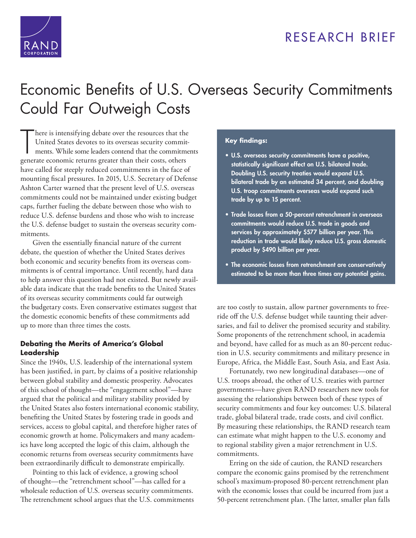

## RESEARCH BRIEF

# [Economic Benefits of U.S. Overseas Security Commitments](http://www.rand.org/pubs/research_briefs/RB9912.html)  Could Far Outweigh Costs

 $\overline{\mathsf{T}}$ here is intensifying debate over the resources that the United States devotes to its overseas security commitments. While some leaders contend that the commitments generate economic returns greater than their costs, others have called for steeply reduced commitments in the face of mounting fiscal pressures. In 2015, U.S. Secretary of Defense Ashton Carter warned that the present level of U.S. overseas commitments could not be maintained under existing budget caps, further fueling the debate between those who wish to reduce U.S. defense burdens and those who wish to increase the U.S. defense budget to sustain the overseas security commitments.

Given the essentially financial nature of the current debate, the question of whether the United States derives both economic and security benefits from its overseas commitments is of central importance. Until recently, hard data to help answer this question had not existed. But newly available data indicate that the trade benefits to the United States of its overseas security commitments could far outweigh the budgetary costs. Even conservative estimates suggest that the domestic economic benefits of these commitments add up to more than three times the costs.

#### **Debating the Merits of America's Global Leadership**

Since the 1940s, U.S. leadership of the international system has been justified, in part, by claims of a positive relationship between global stability and domestic prosperity. Advocates of this school of thought—the "engagement school"—have argued that the political and military stability provided by the United States also fosters international economic stability, benefiting the United States by fostering trade in goods and services, access to global capital, and therefore higher rates of economic growth at home. Policymakers and many academics have long accepted the logic of this claim, although the economic returns from overseas security commitments have been extraordinarily difficult to demonstrate empirically.

Pointing to this lack of evidence, a growing school of thought—the "retrenchment school"—has called for a wholesale reduction of U.S. overseas security commitments. The retrenchment school argues that the U.S. commitments

#### **Key findings:**

- **U.S. overseas security commitments have a positive, statistically significant effect on U.S. bilateral trade. Doubling U.S. security treaties would expand U.S. bilateral trade by an estimated 34 percent, and doubling U.S. troop commitments overseas would expand such trade by up to 15 percent.**
- **Trade losses from a 50-percent retrenchment in overseas commitments would reduce U.S. trade in goods and services by approximately \$577 billion per year. This reduction in trade would likely reduce U.S. gross domestic product by \$490 billion per year.**
- **The economic losses from retrenchment are conservatively estimated to be more than three times any potential gains.**

are too costly to sustain, allow partner governments to freeride off the U.S. defense budget while taunting their adversaries, and fail to deliver the promised security and stability. Some proponents of the retrenchment school, in academia and beyond, have called for as much as an 80-percent reduction in U.S. security commitments and military presence in Europe, Africa, the Middle East, South Asia, and East Asia.

Fortunately, two new longitudinal databases—one of U.S. troops abroad, the other of U.S. treaties with partner governments—have given RAND researchers new tools for assessing the relationships between both of these types of security commitments and four key outcomes: U.S. bilateral trade, global bilateral trade, trade costs, and civil conflict. By measuring these relationships, the RAND research team can estimate what might happen to the U.S. economy and to regional stability given a major retrenchment in U.S. commitments.

Erring on the side of caution, the RAND researchers compare the economic gains promised by the retrenchment school's maximum-proposed 80-percent retrenchment plan with the economic losses that could be incurred from just a 50-percent retrenchment plan. (The latter, smaller plan falls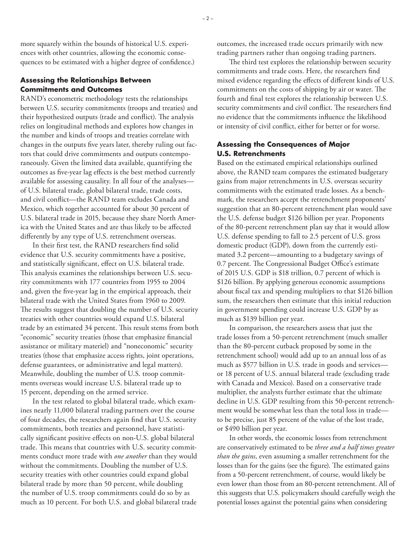more squarely within the bounds of historical U.S. experiences with other countries, allowing the economic consequences to be estimated with a higher degree of confidence.)

#### **Assessing the Relationships Between Commitments and Outcomes**

RAND's econometric methodology tests the relationships between U.S. security commitments (troops and treaties) and their hypothesized outputs (trade and conflict). The analysis relies on longitudinal methods and explores how changes in the number and kinds of troops and treaties correlate with changes in the outputs five years later, thereby ruling out factors that could drive commitments and outputs contemporaneously. Given the limited data available, quantifying the outcomes as five-year lag effects is the best method currently available for assessing causality. In all four of the analyses of U.S. bilateral trade, global bilateral trade, trade costs, and civil conflict—the RAND team excludes Canada and Mexico, which together accounted for about 30 percent of U.S. bilateral trade in 2015, because they share North America with the United States and are thus likely to be affected differently by any type of U.S. retrenchment overseas.

In their first test, the RAND researchers find solid evidence that U.S. security commitments have a positive, and statistically significant, effect on U.S. bilateral trade. This analysis examines the relationships between U.S. security commitments with 177 countries from 1955 to 2004 and, given the five-year lag in the empirical approach, their bilateral trade with the United States from 1960 to 2009. The results suggest that doubling the number of U.S. security treaties with other countries would expand U.S. bilateral trade by an estimated 34 percent. This result stems from both "economic" security treaties (those that emphasize financial assistance or military materiel) and "noneconomic" security treaties (those that emphasize access rights, joint operations, defense guarantees, or administrative and legal matters). Meanwhile, doubling the number of U.S. troop commitments overseas would increase U.S. bilateral trade up to 15 percent, depending on the armed service.

In the test related to global bilateral trade, which examines nearly 11,000 bilateral trading partners over the course of four decades, the researchers again find that U.S. security commitments, both treaties and personnel, have statistically significant positive effects on non-U.S. global bilateral trade. This means that countries with U.S. security commitments conduct more trade with *one another* than they would without the commitments. Doubling the number of U.S. security treaties with other countries could expand global bilateral trade by more than 50 percent, while doubling the number of U.S. troop commitments could do so by as much as 10 percent. For both U.S. and global bilateral trade

outcomes, the increased trade occurs primarily with new trading partners rather than ongoing trading partners.

The third test explores the relationship between security commitments and trade costs. Here, the researchers find mixed evidence regarding the effects of different kinds of U.S. commitments on the costs of shipping by air or water. The fourth and final test explores the relationship between U.S. security commitments and civil conflict. The researchers find no evidence that the commitments influence the likelihood or intensity of civil conflict, either for better or for worse.

#### **Assessing the Consequences of Major U.S. Retrenchments**

Based on the estimated empirical relationships outlined above, the RAND team compares the estimated budgetary gains from major retrenchments in U.S. overseas security commitments with the estimated trade losses. As a benchmark, the researchers accept the retrenchment proponents' suggestion that an 80-percent retrenchment plan would save the U.S. defense budget \$126 billion per year. Proponents of the 80-percent retrenchment plan say that it would allow U.S. defense spending to fall to 2.5 percent of U.S. gross domestic product (GDP), down from the currently estimated 3.2 percent—amounting to a budgetary savings of 0.7 percent. The Congressional Budget Office's estimate of 2015 U.S. GDP is \$18 trillion, 0.7 percent of which is \$126 billion. By applying generous economic assumptions about fiscal tax and spending multipliers to that \$126 billion sum, the researchers then estimate that this initial reduction in government spending could increase U.S. GDP by as much as \$139 billion per year.

In comparison, the researchers assess that just the trade losses from a 50-percent retrenchment (much smaller than the 80-percent cutback proposed by some in the retrenchment school) would add up to an annual loss of as much as \$577 billion in U.S. trade in goods and services or 18 percent of U.S. annual bilateral trade (excluding trade with Canada and Mexico). Based on a conservative trade multiplier, the analysts further estimate that the ultimate decline in U.S. GDP resulting from this 50-percent retrenchment would be somewhat less than the total loss in trade to be precise, just 85 percent of the value of the lost trade, or \$490 billion per year.

In other words, the economic losses from retrenchment are conservatively estimated to be *three and a half times greater than the gains*, even assuming a smaller retrenchment for the losses than for the gains (see the figure). The estimated gains from a 50-percent retrenchment, of course, would likely be even lower than those from an 80-percent retrenchment. All of this suggests that U.S. policymakers should carefully weigh the potential losses against the potential gains when considering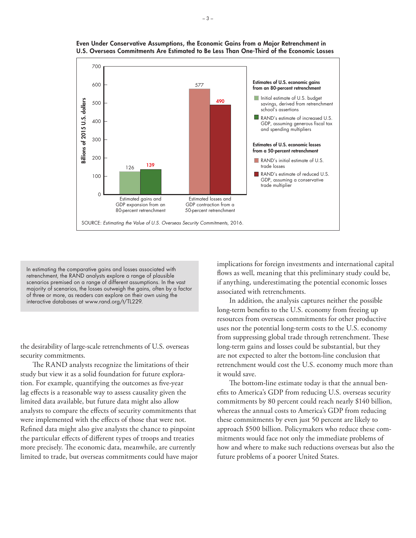

**Even Under Conservative Assumptions, the Economic Gains from a Major Retrenchment in U.S. Overseas Commitments Are Estimated to Be Less Than One-Third of the Economic Losses**

In estimating the comparative gains and losses associated with retrenchment, the RAND analysts explore a range of plausible scenarios premised on a range of different assumptions. In the vast majority of scenarios, the losses outweigh the gains, often by a factor of three or more, as readers can explore on their own using the interactive databases at [www.rand.org/t/TL229.](http://www.rand.org/t/TL229)

the desirability of large-scale retrenchments of U.S. overseas security commitments.

The RAND analysts recognize the limitations of their study but view it as a solid foundation for future exploration. For example, quantifying the outcomes as five-year lag effects is a reasonable way to assess causality given the limited data available, but future data might also allow analysts to compare the effects of security commitments that were implemented with the effects of those that were not. Refined data might also give analysts the chance to pinpoint the particular effects of different types of troops and treaties more precisely. The economic data, meanwhile, are currently limited to trade, but overseas commitments could have major

implications for foreign investments and international capital flows as well, meaning that this preliminary study could be, if anything, underestimating the potential economic losses associated with retrenchments.

In addition, the analysis captures neither the possible long-term benefits to the U.S. economy from freeing up resources from overseas commitments for other productive uses nor the potential long-term costs to the U.S. economy from suppressing global trade through retrenchment. These long-term gains and losses could be substantial, but they are not expected to alter the bottom-line conclusion that retrenchment would cost the U.S. economy much more than it would save.

The bottom-line estimate today is that the annual benefits to America's GDP from reducing U.S. overseas security commitments by 80 percent could reach nearly \$140 billion, whereas the annual costs to America's GDP from reducing these commitments by even just 50 percent are likely to approach \$500 billion. Policymakers who reduce these commitments would face not only the immediate problems of how and where to make such reductions overseas but also the future problems of a poorer United States.